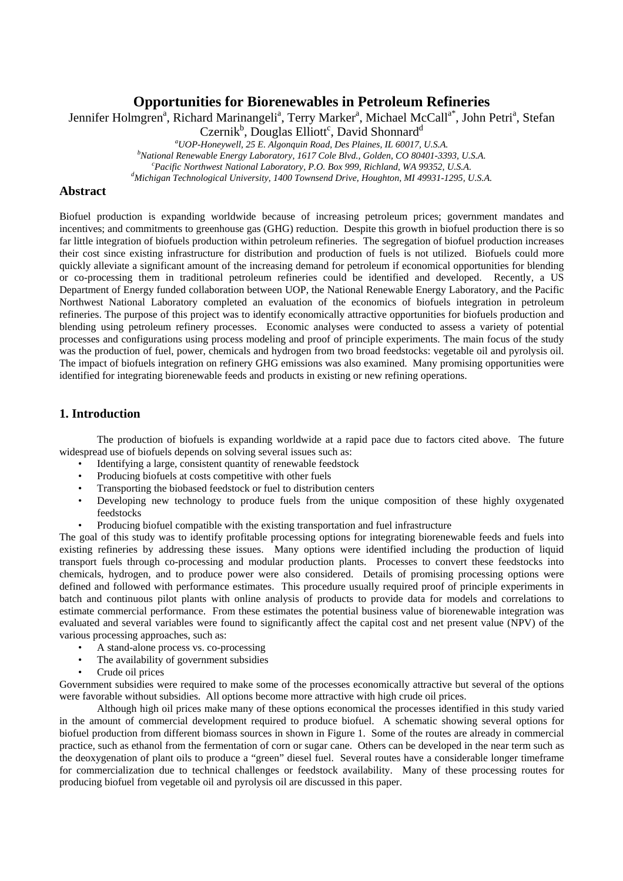# **Opportunities for Biorenewables in Petroleum Refineries**

Jennifer Holmgren<sup>a</sup>, Richard Marinangeli<sup>a</sup>, Terry Marker<sup>a</sup>, Michael McCall<sup>a\*</sup>, John Petri<sup>a</sup>, Stefan

Czernik<sup>b</sup>, Douglas Elliott<sup>c</sup>, David Shonnard<sup>d</sup>

<sup>a</sup> *UOP-Honeywell, 25 E. Algonquin Road, Des Plaines, IL 60017, U.S.A.*<br><sup>b</sup>National Benewable Fragey Laboratory, 1617 Cole Blyd. Colden, CO 80401, 220 *National Renewable Energy Laboratory, 1617 Cole Blvd., Golden, CO 80401-3393, U.S.A. c*

<sup>c</sup> Pacific Northwest National Laboratory, P.O. Box 999, Richland, WA 99352, U.S.A.

*Michigan Technological University, 1400 Townsend Drive, Houghton, MI 49931-1295, U.S.A.* 

### **Abstract**

Biofuel production is expanding worldwide because of increasing petroleum prices; government mandates and incentives; and commitments to greenhouse gas (GHG) reduction. Despite this growth in biofuel production there is so far little integration of biofuels production within petroleum refineries. The segregation of biofuel production increases their cost since existing infrastructure for distribution and production of fuels is not utilized. Biofuels could more quickly alleviate a significant amount of the increasing demand for petroleum if economical opportunities for blending or co-processing them in traditional petroleum refineries could be identified and developed. Recently, a US Department of Energy funded collaboration between UOP, the National Renewable Energy Laboratory, and the Pacific Northwest National Laboratory completed an evaluation of the economics of biofuels integration in petroleum refineries. The purpose of this project was to identify economically attractive opportunities for biofuels production and blending using petroleum refinery processes. Economic analyses were conducted to assess a variety of potential processes and configurations using process modeling and proof of principle experiments. The main focus of the study was the production of fuel, power, chemicals and hydrogen from two broad feedstocks: vegetable oil and pyrolysis oil. The impact of biofuels integration on refinery GHG emissions was also examined. Many promising opportunities were identified for integrating biorenewable feeds and products in existing or new refining operations.

### **1. Introduction**

 The production of biofuels is expanding worldwide at a rapid pace due to factors cited above. The future widespread use of biofuels depends on solving several issues such as:

- Identifying a large, consistent quantity of renewable feedstock
- Producing biofuels at costs competitive with other fuels
- Transporting the biobased feedstock or fuel to distribution centers
- Developing new technology to produce fuels from the unique composition of these highly oxygenated feedstocks
- Producing biofuel compatible with the existing transportation and fuel infrastructure

The goal of this study was to identify profitable processing options for integrating biorenewable feeds and fuels into existing refineries by addressing these issues. Many options were identified including the production of liquid transport fuels through co-processing and modular production plants. Processes to convert these feedstocks into chemicals, hydrogen, and to produce power were also considered. Details of promising processing options were defined and followed with performance estimates. This procedure usually required proof of principle experiments in batch and continuous pilot plants with online analysis of products to provide data for models and correlations to estimate commercial performance. From these estimates the potential business value of biorenewable integration was evaluated and several variables were found to significantly affect the capital cost and net present value (NPV) of the various processing approaches, such as:

- A stand-alone process vs. co-processing
- The availability of government subsidies
- Crude oil prices

Government subsidies were required to make some of the processes economically attractive but several of the options were favorable without subsidies. All options become more attractive with high crude oil prices.

 Although high oil prices make many of these options economical the processes identified in this study varied in the amount of commercial development required to produce biofuel. A schematic showing several options for biofuel production from different biomass sources in shown in Figure 1. Some of the routes are already in commercial practice, such as ethanol from the fermentation of corn or sugar cane. Others can be developed in the near term such as the deoxygenation of plant oils to produce a "green" diesel fuel. Several routes have a considerable longer timeframe for commercialization due to technical challenges or feedstock availability. Many of these processing routes for producing biofuel from vegetable oil and pyrolysis oil are discussed in this paper.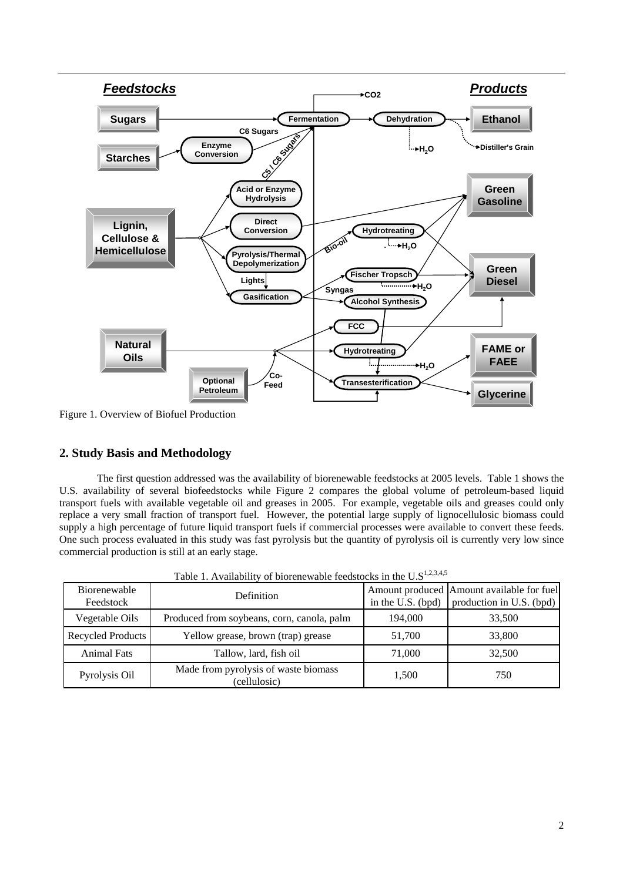

Figure 1. Overview of Biofuel Production

## **2. Study Basis and Methodology**

The first question addressed was the availability of biorenewable feedstocks at 2005 levels. Table 1 shows the U.S. availability of several biofeedstocks while Figure 2 compares the global volume of petroleum-based liquid transport fuels with available vegetable oil and greases in 2005. For example, vegetable oils and greases could only replace a very small fraction of transport fuel. However, the potential large supply of lignocellulosic biomass could supply a high percentage of future liquid transport fuels if commercial processes were available to convert these feeds. One such process evaluated in this study was fast pyrolysis but the quantity of pyrolysis oil is currently very low since commercial production is still at an early stage.

| <b>Biorenewable</b><br>Feedstock | Definition                                           |         | Amount produced Amount available for fuel<br>in the U.S. (bpd) $\vert$ production in U.S. (bpd) |
|----------------------------------|------------------------------------------------------|---------|-------------------------------------------------------------------------------------------------|
| Vegetable Oils                   | Produced from soybeans, corn, canola, palm           | 194,000 | 33,500                                                                                          |
| Recycled Products                | Yellow grease, brown (trap) grease                   | 51,700  | 33,800                                                                                          |
| <b>Animal Fats</b>               | Tallow, lard, fish oil                               | 71,000  | 32,500                                                                                          |
| Pyrolysis Oil                    | Made from pyrolysis of waste biomass<br>(cellulosic) | 1.500   | 750                                                                                             |

Table 1. Availability of biorenewable feedstocks in the  $U.S^{1,2,3,4,5}$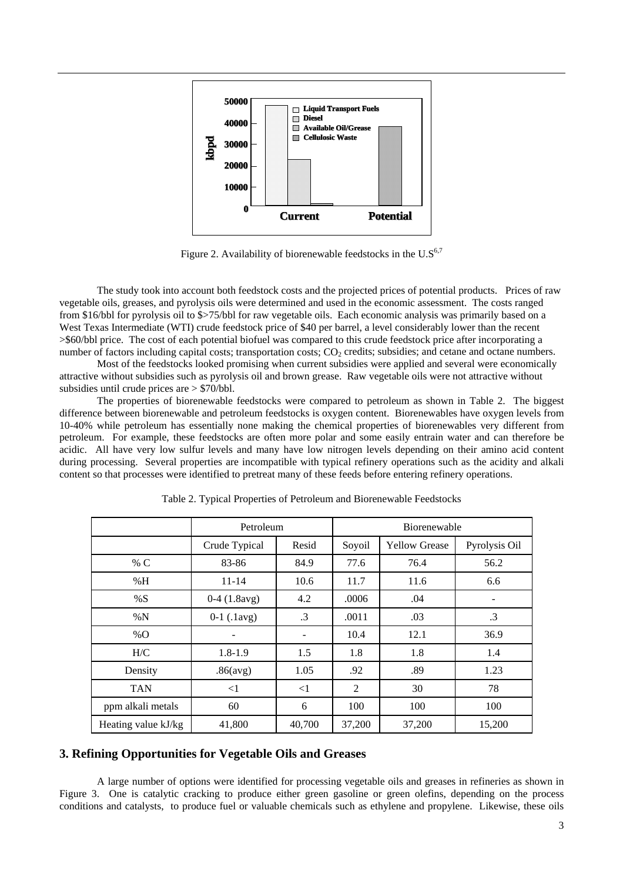

Figure 2. Availability of biorenewable feedstocks in the  $U.S^{6,7}$ 

 The study took into account both feedstock costs and the projected prices of potential products. Prices of raw vegetable oils, greases, and pyrolysis oils were determined and used in the economic assessment. The costs ranged from \$16/bbl for pyrolysis oil to \$>75/bbl for raw vegetable oils. Each economic analysis was primarily based on a West Texas Intermediate (WTI) crude feedstock price of \$40 per barrel, a level considerably lower than the recent >\$60/bbl price. The cost of each potential biofuel was compared to this crude feedstock price after incorporating a number of factors including capital costs; transportation costs;  $CO<sub>2</sub>$  credits; subsidies; and cetane and octane numbers.

 Most of the feedstocks looked promising when current subsidies were applied and several were economically attractive without subsidies such as pyrolysis oil and brown grease. Raw vegetable oils were not attractive without subsidies until crude prices are > \$70/bbl.

 The properties of biorenewable feedstocks were compared to petroleum as shown in Table 2. The biggest difference between biorenewable and petroleum feedstocks is oxygen content. Biorenewables have oxygen levels from 10-40% while petroleum has essentially none making the chemical properties of biorenewables very different from petroleum. For example, these feedstocks are often more polar and some easily entrain water and can therefore be acidic. All have very low sulfur levels and many have low nitrogen levels depending on their amino acid content during processing. Several properties are incompatible with typical refinery operations such as the acidity and alkali content so that processes were identified to pretreat many of these feeds before entering refinery operations.

|                     | Petroleum     |           | Biorenewable |                      |               |
|---------------------|---------------|-----------|--------------|----------------------|---------------|
|                     | Crude Typical | Resid     | Soyoil       | <b>Yellow Grease</b> | Pyrolysis Oil |
| % $C$               | 83-86         | 84.9      | 77.6         | 76.4                 | 56.2          |
| %H                  | $11 - 14$     | 10.6      | 11.7         | 11.6                 | 6.6           |
| %S                  | $0-4(1.8avg)$ | 4.2       | .0006        | .04                  |               |
| $\% N$              | $0-1$ (.1avg) | $\cdot$ 3 | .0011        | .03                  | $\cdot$ 3     |
| $\%$ O              |               |           | 10.4         | 12.1                 | 36.9          |
| H/C                 | $1.8 - 1.9$   | 1.5       | 1.8          | 1.8                  | 1.4           |
| Density             | .86(avg)      | 1.05      | .92          | .89                  | 1.23          |
| <b>TAN</b>          | $<$ 1         | $\leq$ 1  | 2            | 30                   | 78            |
| ppm alkali metals   | 60            | 6         | 100          | 100                  | 100           |
| Heating value kJ/kg | 41,800        | 40,700    | 37,200       | 37,200               | 15,200        |

Table 2. Typical Properties of Petroleum and Biorenewable Feedstocks

## **3. Refining Opportunities for Vegetable Oils and Greases**

 A large number of options were identified for processing vegetable oils and greases in refineries as shown in Figure 3. One is catalytic cracking to produce either green gasoline or green olefins, depending on the process conditions and catalysts, to produce fuel or valuable chemicals such as ethylene and propylene. Likewise, these oils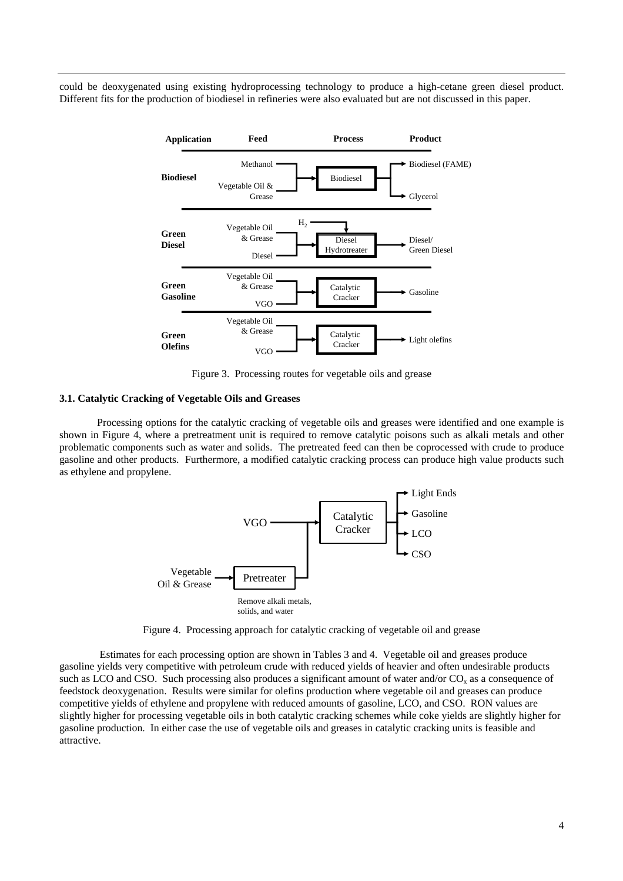could be deoxygenated using existing hydroprocessing technology to produce a high-cetane green diesel product. Different fits for the production of biodiesel in refineries were also evaluated but are not discussed in this paper.



Figure 3. Processing routes for vegetable oils and grease

#### **3.1. Catalytic Cracking of Vegetable Oils and Greases**

 Processing options for the catalytic cracking of vegetable oils and greases were identified and one example is shown in Figure 4, where a pretreatment unit is required to remove catalytic poisons such as alkali metals and other problematic components such as water and solids. The pretreated feed can then be coprocessed with crude to produce gasoline and other products. Furthermore, a modified catalytic cracking process can produce high value products such as ethylene and propylene.



Figure 4. Processing approach for catalytic cracking of vegetable oil and grease

 Estimates for each processing option are shown in Tables 3 and 4. Vegetable oil and greases produce gasoline yields very competitive with petroleum crude with reduced yields of heavier and often undesirable products such as LCO and CSO. Such processing also produces a significant amount of water and/or  $CO<sub>x</sub>$  as a consequence of feedstock deoxygenation. Results were similar for olefins production where vegetable oil and greases can produce competitive yields of ethylene and propylene with reduced amounts of gasoline, LCO, and CSO. RON values are slightly higher for processing vegetable oils in both catalytic cracking schemes while coke yields are slightly higher for gasoline production. In either case the use of vegetable oils and greases in catalytic cracking units is feasible and attractive.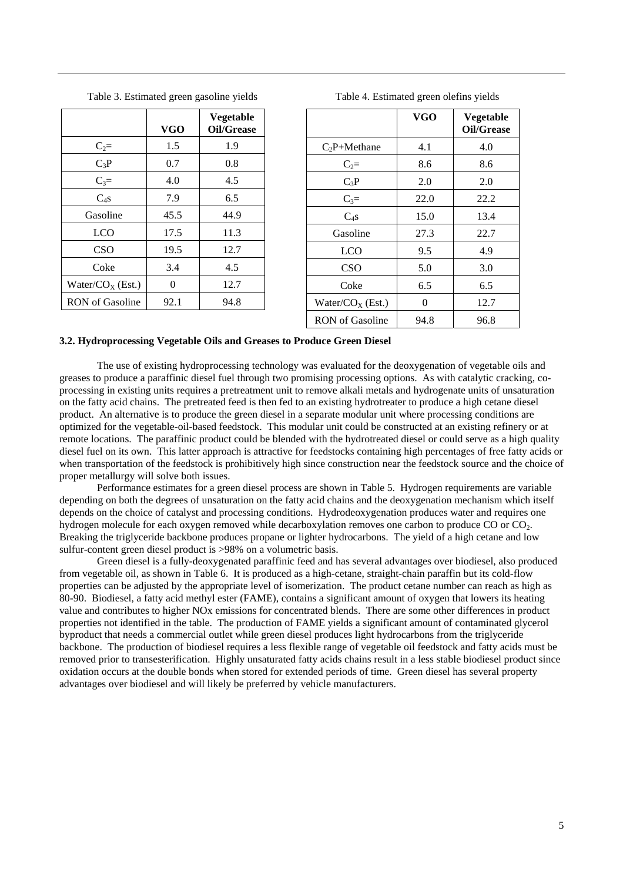|                        | <b>VGO</b> | <b>Vegetable</b><br>Oil/Grease |
|------------------------|------------|--------------------------------|
| $C_2=$                 | 1.5        | 1.9                            |
| $C_3P$                 | 0.7        | 0.8                            |
| $C_3=$                 | 4.0        | 4.5                            |
| $C_{4}S$               | 7.9        | 6.5                            |
| Gasoline               | 45.5       | 44.9                           |
| <b>LCO</b>             | 17.5       | 11.3                           |
| <b>CSO</b>             | 19.5       | 12.7                           |
| Coke                   | 3.4        | 4.5                            |
| Water/ $COX$ (Est.)    | 0          | 12.7                           |
| <b>RON</b> of Gasoline | 92.1       | 94.8                           |

Table 3. Estimated green gasoline yields

**VGO Vegetable Oil/Grease**   $C_2P+Methodene$  4.1 4.0  $C_2$ = 8.6 8.6  $C_3P$  2.0 2.0  $C_3 =$  22.0 22.2  $C_4s$  15.0 13.4 Gasoline 27.3 22.7 LCO | 9.5 | 4.9  $\text{CSO}$  | 5.0 | 3.0 Coke 6.5 6.5 Water/ $CO_X$  (Est.) 0 12.7 RON of Gasoline 94.8 96.8

Table 4. Estimated green olefins yields

#### **3.2. Hydroprocessing Vegetable Oils and Greases to Produce Green Diesel**

 The use of existing hydroprocessing technology was evaluated for the deoxygenation of vegetable oils and greases to produce a paraffinic diesel fuel through two promising processing options. As with catalytic cracking, coprocessing in existing units requires a pretreatment unit to remove alkali metals and hydrogenate units of unsaturation on the fatty acid chains. The pretreated feed is then fed to an existing hydrotreater to produce a high cetane diesel product. An alternative is to produce the green diesel in a separate modular unit where processing conditions are optimized for the vegetable-oil-based feedstock. This modular unit could be constructed at an existing refinery or at remote locations. The paraffinic product could be blended with the hydrotreated diesel or could serve as a high quality diesel fuel on its own. This latter approach is attractive for feedstocks containing high percentages of free fatty acids or when transportation of the feedstock is prohibitively high since construction near the feedstock source and the choice of proper metallurgy will solve both issues.

 Performance estimates for a green diesel process are shown in Table 5. Hydrogen requirements are variable depending on both the degrees of unsaturation on the fatty acid chains and the deoxygenation mechanism which itself depends on the choice of catalyst and processing conditions. Hydrodeoxygenation produces water and requires one hydrogen molecule for each oxygen removed while decarboxylation removes one carbon to produce CO or CO<sub>2</sub>. Breaking the triglyceride backbone produces propane or lighter hydrocarbons. The yield of a high cetane and low sulfur-content green diesel product is >98% on a volumetric basis.

 Green diesel is a fully-deoxygenated paraffinic feed and has several advantages over biodiesel, also produced from vegetable oil, as shown in Table 6. It is produced as a high-cetane, straight-chain paraffin but its cold-flow properties can be adjusted by the appropriate level of isomerization. The product cetane number can reach as high as 80-90. Biodiesel, a fatty acid methyl ester (FAME), contains a significant amount of oxygen that lowers its heating value and contributes to higher NOx emissions for concentrated blends. There are some other differences in product properties not identified in the table. The production of FAME yields a significant amount of contaminated glycerol byproduct that needs a commercial outlet while green diesel produces light hydrocarbons from the triglyceride backbone. The production of biodiesel requires a less flexible range of vegetable oil feedstock and fatty acids must be removed prior to transesterification. Highly unsaturated fatty acids chains result in a less stable biodiesel product since oxidation occurs at the double bonds when stored for extended periods of time. Green diesel has several property advantages over biodiesel and will likely be preferred by vehicle manufacturers.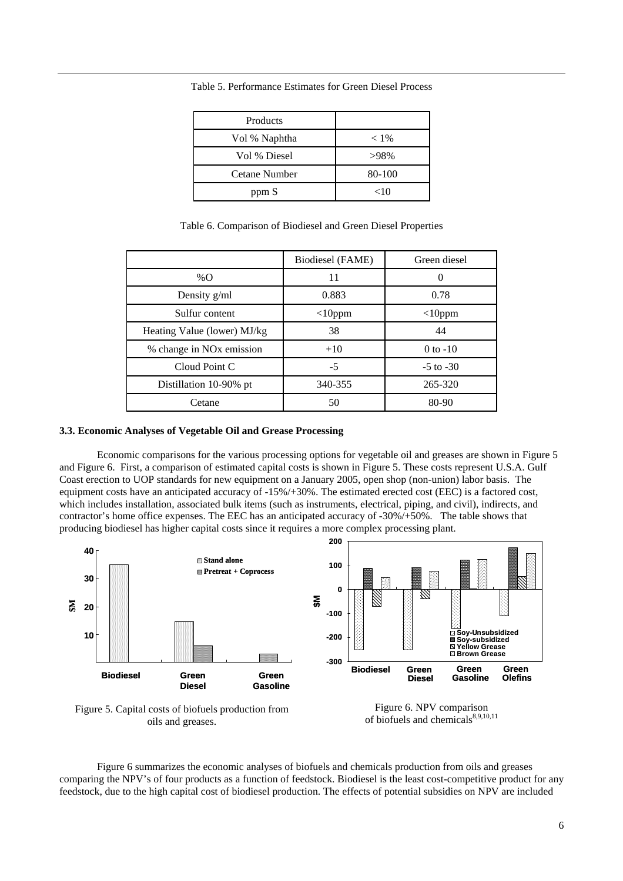| Products      |         |
|---------------|---------|
| Vol % Naphtha | $< 1\%$ |
| Vol % Diesel  | >98%    |
| Cetane Number | 80-100  |
| ppm S         | <10     |

Table 5. Performance Estimates for Green Diesel Process

|  | Table 6. Comparison of Biodiesel and Green Diesel Properties |  |  |
|--|--------------------------------------------------------------|--|--|
|  |                                                              |  |  |

|                                      | <b>Biodiesel</b> (FAME) | Green diesel  |
|--------------------------------------|-------------------------|---------------|
| %O                                   | 11                      | 0             |
| Density g/ml                         | 0.883                   | 0.78          |
| Sulfur content                       | $<$ 10ppm               | $<$ 10ppm     |
| Heating Value (lower) MJ/kg          | 38                      | 44            |
| % change in NO <sub>x</sub> emission | $+10$                   | $0$ to $-10$  |
| Cloud Point C                        | $-5$                    | $-5$ to $-30$ |
| Distillation 10-90% pt               | 340-355                 | 265-320       |
| Cetane                               | 50                      | 80-90         |

### **3.3. Economic Analyses of Vegetable Oil and Grease Processing**

 Economic comparisons for the various processing options for vegetable oil and greases are shown in Figure 5 and Figure 6. First, a comparison of estimated capital costs is shown in Figure 5. These costs represent U.S.A. Gulf Coast erection to UOP standards for new equipment on a January 2005, open shop (non-union) labor basis. The equipment costs have an anticipated accuracy of -15%/+30%. The estimated erected cost (EEC) is a factored cost, which includes installation, associated bulk items (such as instruments, electrical, piping, and civil), indirects, and contractor's home office expenses. The EEC has an anticipated accuracy of -30%/+50%. The table shows that producing biodiesel has higher capital costs since it requires a more complex processing plant.



oils and greases.

of biofuels and chemicals<sup>8,9,10,11</sup>

 Figure 6 summarizes the economic analyses of biofuels and chemicals production from oils and greases comparing the NPV's of four products as a function of feedstock. Biodiesel is the least cost-competitive product for any feedstock, due to the high capital cost of biodiesel production. The effects of potential subsidies on NPV are included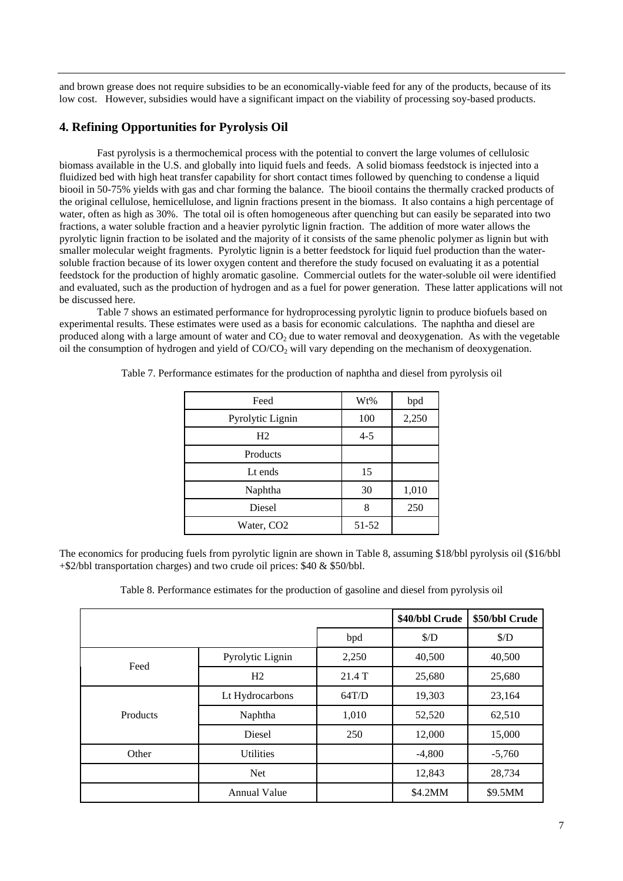and brown grease does not require subsidies to be an economically-viable feed for any of the products, because of its low cost. However, subsidies would have a significant impact on the viability of processing soy-based products.

### **4. Refining Opportunities for Pyrolysis Oil**

 Fast pyrolysis is a thermochemical process with the potential to convert the large volumes of cellulosic biomass available in the U.S. and globally into liquid fuels and feeds. A solid biomass feedstock is injected into a fluidized bed with high heat transfer capability for short contact times followed by quenching to condense a liquid biooil in 50-75% yields with gas and char forming the balance. The biooil contains the thermally cracked products of the original cellulose, hemicellulose, and lignin fractions present in the biomass. It also contains a high percentage of water, often as high as 30%. The total oil is often homogeneous after quenching but can easily be separated into two fractions, a water soluble fraction and a heavier pyrolytic lignin fraction. The addition of more water allows the pyrolytic lignin fraction to be isolated and the majority of it consists of the same phenolic polymer as lignin but with smaller molecular weight fragments. Pyrolytic lignin is a better feedstock for liquid fuel production than the watersoluble fraction because of its lower oxygen content and therefore the study focused on evaluating it as a potential feedstock for the production of highly aromatic gasoline. Commercial outlets for the water-soluble oil were identified and evaluated, such as the production of hydrogen and as a fuel for power generation. These latter applications will not be discussed here.

 Table 7 shows an estimated performance for hydroprocessing pyrolytic lignin to produce biofuels based on experimental results. These estimates were used as a basis for economic calculations. The naphtha and diesel are produced along with a large amount of water and  $CO<sub>2</sub>$  due to water removal and deoxygenation. As with the vegetable oil the consumption of hydrogen and yield of  $CO/CO<sub>2</sub>$  will vary depending on the mechanism of deoxygenation.

| Feed                   | Wt%     | bpd   |
|------------------------|---------|-------|
| Pyrolytic Lignin       | 100     | 2,250 |
| H <sub>2</sub>         | $4 - 5$ |       |
| Products               |         |       |
| Lt ends                | 15      |       |
| Naphtha                | 30      | 1,010 |
| Diesel                 | 8       | 250   |
| Water, CO <sub>2</sub> | 51-52   |       |

Table 7. Performance estimates for the production of naphtha and diesel from pyrolysis oil

The economics for producing fuels from pyrolytic lignin are shown in Table 8, assuming \$18/bbl pyrolysis oil (\$16/bbl +\$2/bbl transportation charges) and two crude oil prices: \$40 & \$50/bbl.

Table 8. Performance estimates for the production of gasoline and diesel from pyrolysis oil

|          |                     |        | \$40/bbl Crude | \$50/bbl Crude |
|----------|---------------------|--------|----------------|----------------|
|          |                     | bpd    | \$/D\$         | \$/D\$         |
| Feed     | Pyrolytic Lignin    | 2,250  | 40,500         | 40,500         |
|          | H <sub>2</sub>      | 21.4 T | 25,680         | 25,680         |
| Products | Lt Hydrocarbons     | 64T/D  | 19,303         | 23,164         |
|          | Naphtha             | 1,010  | 52,520         | 62,510         |
|          | <b>Diesel</b>       | 250    | 12,000         | 15,000         |
| Other    | <b>Utilities</b>    |        | $-4,800$       | $-5,760$       |
|          | Net                 |        | 12,843         | 28,734         |
|          | <b>Annual Value</b> |        | \$4.2MM        | \$9.5MM        |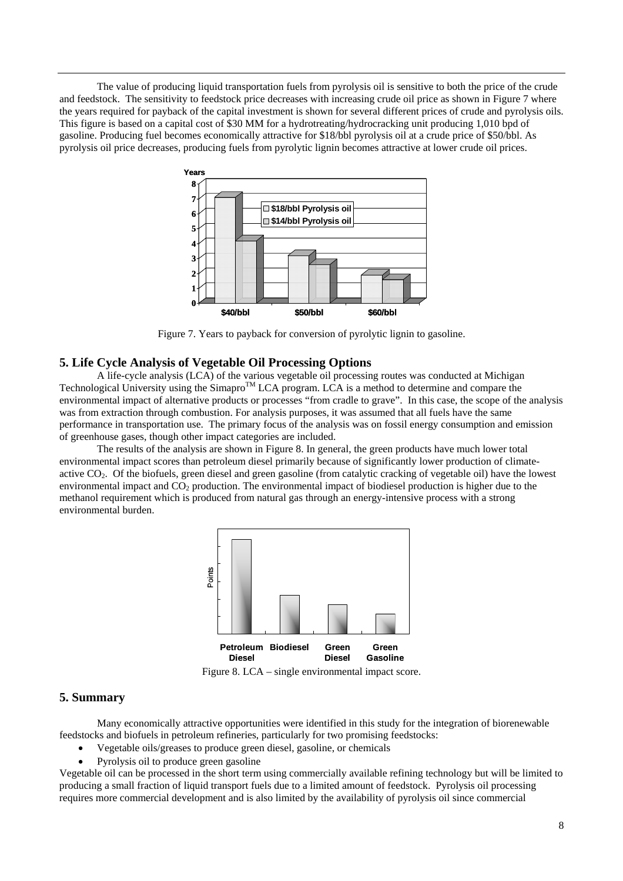The value of producing liquid transportation fuels from pyrolysis oil is sensitive to both the price of the crude and feedstock. The sensitivity to feedstock price decreases with increasing crude oil price as shown in Figure 7 where the years required for payback of the capital investment is shown for several different prices of crude and pyrolysis oils. This figure is based on a capital cost of \$30 MM for a hydrotreating/hydrocracking unit producing 1,010 bpd of gasoline. Producing fuel becomes economically attractive for \$18/bbl pyrolysis oil at a crude price of \$50/bbl. As pyrolysis oil price decreases, producing fuels from pyrolytic lignin becomes attractive at lower crude oil prices.



Figure 7. Years to payback for conversion of pyrolytic lignin to gasoline.

#### **5. Life Cycle Analysis of Vegetable Oil Processing Options**

 A life-cycle analysis (LCA) of the various vegetable oil processing routes was conducted at Michigan Technological University using the Simapro<sup>TM</sup> LCA program. LCA is a method to determine and compare the environmental impact of alternative products or processes "from cradle to grave". In this case, the scope of the analysis was from extraction through combustion. For analysis purposes, it was assumed that all fuels have the same performance in transportation use. The primary focus of the analysis was on fossil energy consumption and emission of greenhouse gases, though other impact categories are included.

 The results of the analysis are shown in Figure 8. In general, the green products have much lower total environmental impact scores than petroleum diesel primarily because of significantly lower production of climateactive CO2. Of the biofuels, green diesel and green gasoline (from catalytic cracking of vegetable oil) have the lowest environmental impact and CO<sub>2</sub> production. The environmental impact of biodiesel production is higher due to the methanol requirement which is produced from natural gas through an energy-intensive process with a strong environmental burden.



Figure 8. LCA – single environmental impact score.

#### **5. Summary**

 Many economically attractive opportunities were identified in this study for the integration of biorenewable feedstocks and biofuels in petroleum refineries, particularly for two promising feedstocks:

- Vegetable oils/greases to produce green diesel, gasoline, or chemicals
- Pyrolysis oil to produce green gasoline

Vegetable oil can be processed in the short term using commercially available refining technology but will be limited to producing a small fraction of liquid transport fuels due to a limited amount of feedstock. Pyrolysis oil processing requires more commercial development and is also limited by the availability of pyrolysis oil since commercial